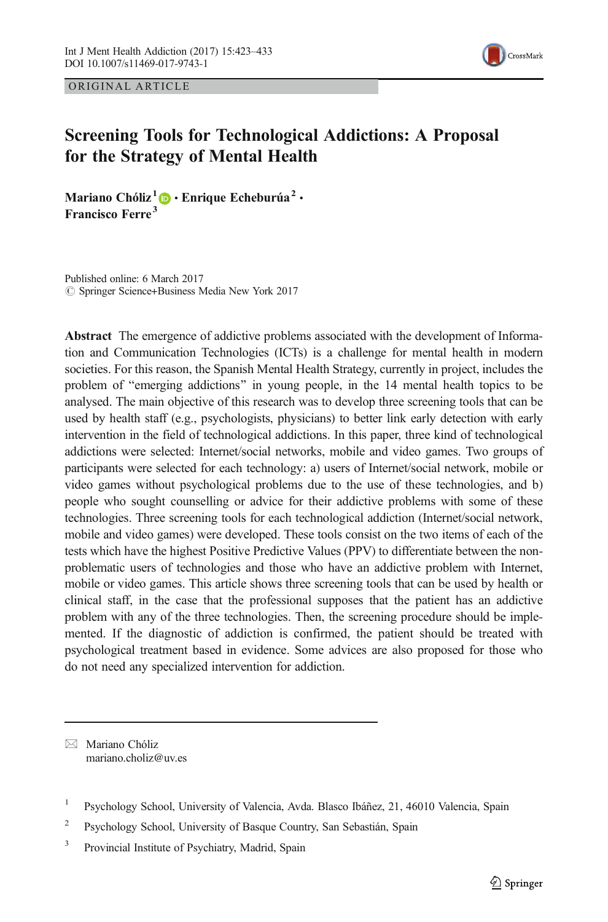ORIGINAL ARTICLE



# Screening Tools for Technological Addictions: A Proposal for the Strategy of Mental Health

Mariano Chóliz<sup>1</sup>  $\mathbf{D} \cdot$  Enrique Echeburúa<sup>2</sup>  $\cdot$ Francisco Ferre <sup>3</sup>

Published online: 6 March 2017 © Springer Science+Business Media New York 2017

Abstract The emergence of addictive problems associated with the development of Information and Communication Technologies (ICTs) is a challenge for mental health in modern societies. For this reason, the Spanish Mental Health Strategy, currently in project, includes the problem of "emerging addictions" in young people, in the 14 mental health topics to be analysed. The main objective of this research was to develop three screening tools that can be used by health staff (e.g., psychologists, physicians) to better link early detection with early intervention in the field of technological addictions. In this paper, three kind of technological addictions were selected: Internet/social networks, mobile and video games. Two groups of participants were selected for each technology: a) users of Internet/social network, mobile or video games without psychological problems due to the use of these technologies, and b) people who sought counselling or advice for their addictive problems with some of these technologies. Three screening tools for each technological addiction (Internet/social network, mobile and video games) were developed. These tools consist on the two items of each of the tests which have the highest Positive Predictive Values (PPV) to differentiate between the nonproblematic users of technologies and those who have an addictive problem with Internet, mobile or video games. This article shows three screening tools that can be used by health or clinical staff, in the case that the professional supposes that the patient has an addictive problem with any of the three technologies. Then, the screening procedure should be implemented. If the diagnostic of addiction is confirmed, the patient should be treated with psychological treatment based in evidence. Some advices are also proposed for those who do not need any specialized intervention for addiction.

 $\boxtimes$  Mariano Chóliz mariano.choliz@uv.es

<sup>&</sup>lt;sup>1</sup> Psychology School, University of Valencia, Avda. Blasco Ibáñez, 21, 46010 Valencia, Spain

<sup>&</sup>lt;sup>2</sup> Psychology School, University of Basque Country, San Sebastián, Spain

<sup>3</sup> Provincial Institute of Psychiatry, Madrid, Spain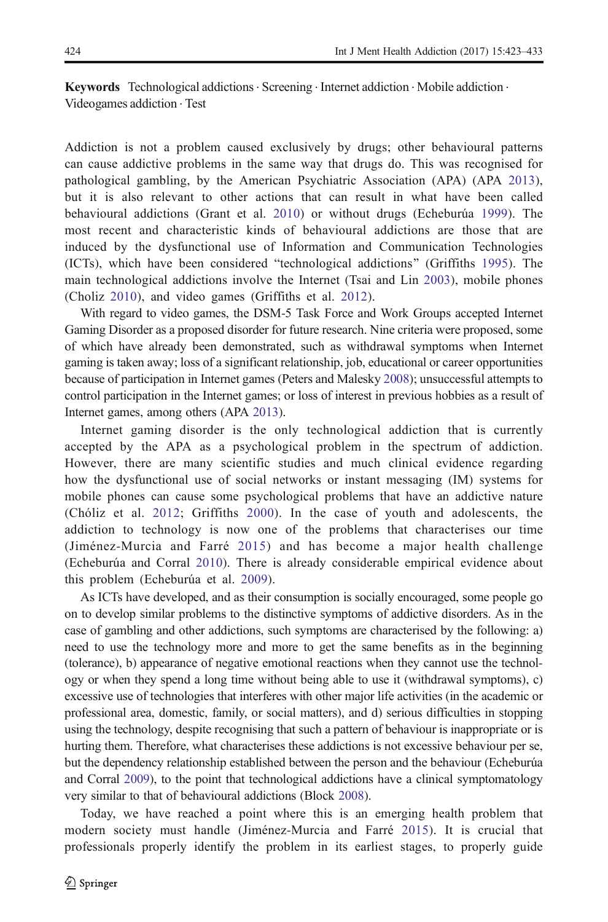Keywords Technological addictions · Screening · Internet addiction · Mobile addiction · Videogames addiction . Test

Addiction is not a problem caused exclusively by drugs; other behavioural patterns can cause addictive problems in the same way that drugs do. This was recognised for pathological gambling, by the American Psychiatric Association (APA) (APA [2013](#page-9-0)), but it is also relevant to other actions that can result in what have been called behavioural addictions (Grant et al. [2010\)](#page-10-0) or without drugs (Echeburúa [1999](#page-10-0)). The most recent and characteristic kinds of behavioural addictions are those that are induced by the dysfunctional use of Information and Communication Technologies (ICTs), which have been considered "technological addictions" (Griffiths [1995\)](#page-10-0). The main technological addictions involve the Internet (Tsai and Lin [2003\)](#page-10-0), mobile phones (Choliz [2010](#page-9-0)), and video games (Griffiths et al. [2012\)](#page-10-0).

With regard to video games, the DSM-5 Task Force and Work Groups accepted Internet Gaming Disorder as a proposed disorder for future research. Nine criteria were proposed, some of which have already been demonstrated, such as withdrawal symptoms when Internet gaming is taken away; loss of a significant relationship, job, educational or career opportunities because of participation in Internet games (Peters and Malesky [2008\)](#page-10-0); unsuccessful attempts to control participation in the Internet games; or loss of interest in previous hobbies as a result of Internet games, among others (APA [2013](#page-9-0)).

Internet gaming disorder is the only technological addiction that is currently accepted by the APA as a psychological problem in the spectrum of addiction. However, there are many scientific studies and much clinical evidence regarding how the dysfunctional use of social networks or instant messaging (IM) systems for mobile phones can cause some psychological problems that have an addictive nature (Chóliz et al. [2012](#page-9-0); Griffiths [2000](#page-10-0)). In the case of youth and adolescents, the addiction to technology is now one of the problems that characterises our time (Jiménez-Murcia and Farré [2015\)](#page-10-0) and has become a major health challenge (Echeburúa and Corral [2010](#page-10-0)). There is already considerable empirical evidence about this problem (Echeburúa et al. [2009\)](#page-10-0).

As ICTs have developed, and as their consumption is socially encouraged, some people go on to develop similar problems to the distinctive symptoms of addictive disorders. As in the case of gambling and other addictions, such symptoms are characterised by the following: a) need to use the technology more and more to get the same benefits as in the beginning (tolerance), b) appearance of negative emotional reactions when they cannot use the technology or when they spend a long time without being able to use it (withdrawal symptoms), c) excessive use of technologies that interferes with other major life activities (in the academic or professional area, domestic, family, or social matters), and d) serious difficulties in stopping using the technology, despite recognising that such a pattern of behaviour is inappropriate or is hurting them. Therefore, what characterises these addictions is not excessive behaviour per se, but the dependency relationship established between the person and the behaviour (Echeburúa and Corral [2009](#page-10-0)), to the point that technological addictions have a clinical symptomatology very similar to that of behavioural addictions (Block [2008](#page-9-0)).

Today, we have reached a point where this is an emerging health problem that modern society must handle (Jiménez-Murcia and Farré [2015](#page-10-0)). It is crucial that professionals properly identify the problem in its earliest stages, to properly guide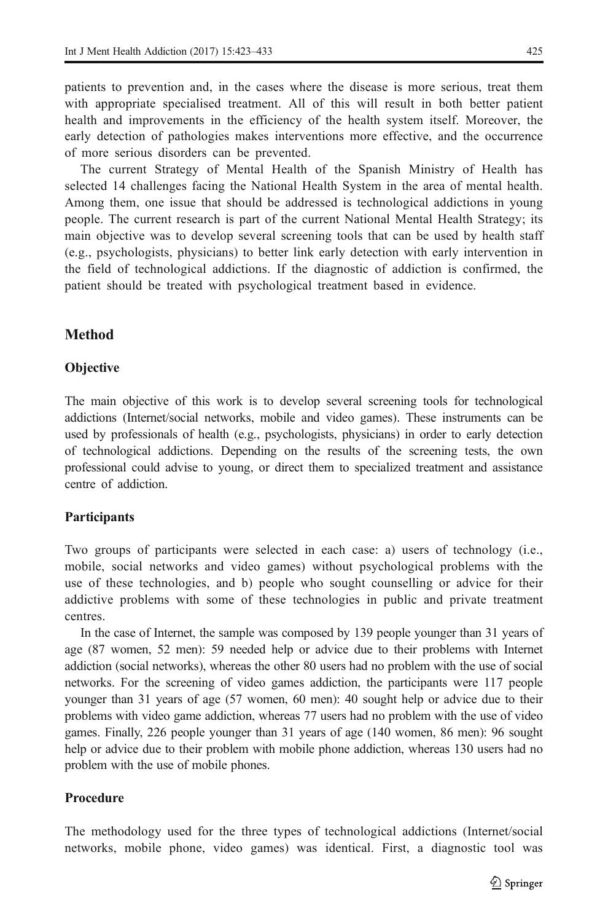patients to prevention and, in the cases where the disease is more serious, treat them with appropriate specialised treatment. All of this will result in both better patient health and improvements in the efficiency of the health system itself. Moreover, the early detection of pathologies makes interventions more effective, and the occurrence of more serious disorders can be prevented.

The current Strategy of Mental Health of the Spanish Ministry of Health has selected 14 challenges facing the National Health System in the area of mental health. Among them, one issue that should be addressed is technological addictions in young people. The current research is part of the current National Mental Health Strategy; its main objective was to develop several screening tools that can be used by health staff (e.g., psychologists, physicians) to better link early detection with early intervention in the field of technological addictions. If the diagnostic of addiction is confirmed, the patient should be treated with psychological treatment based in evidence.

## Method

#### **Objective**

The main objective of this work is to develop several screening tools for technological addictions (Internet/social networks, mobile and video games). These instruments can be used by professionals of health (e.g., psychologists, physicians) in order to early detection of technological addictions. Depending on the results of the screening tests, the own professional could advise to young, or direct them to specialized treatment and assistance centre of addiction.

### Participants

Two groups of participants were selected in each case: a) users of technology (i.e., mobile, social networks and video games) without psychological problems with the use of these technologies, and b) people who sought counselling or advice for their addictive problems with some of these technologies in public and private treatment centres.

In the case of Internet, the sample was composed by 139 people younger than 31 years of age (87 women, 52 men): 59 needed help or advice due to their problems with Internet addiction (social networks), whereas the other 80 users had no problem with the use of social networks. For the screening of video games addiction, the participants were 117 people younger than 31 years of age (57 women, 60 men): 40 sought help or advice due to their problems with video game addiction, whereas 77 users had no problem with the use of video games. Finally, 226 people younger than 31 years of age (140 women, 86 men): 96 sought help or advice due to their problem with mobile phone addiction, whereas 130 users had no problem with the use of mobile phones.

#### Procedure

The methodology used for the three types of technological addictions (Internet/social networks, mobile phone, video games) was identical. First, a diagnostic tool was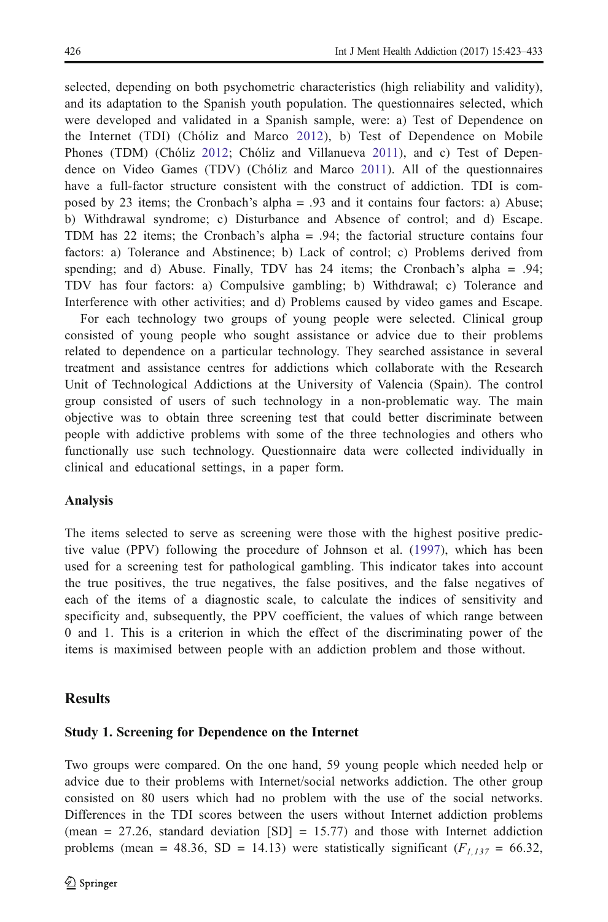selected, depending on both psychometric characteristics (high reliability and validity), and its adaptation to the Spanish youth population. The questionnaires selected, which were developed and validated in a Spanish sample, were: a) Test of Dependence on the Internet (TDI) (Chóliz and Marco [2012](#page-9-0)), b) Test of Dependence on Mobile Phones (TDM) (Chóliz [2012](#page-9-0); Chóliz and Villanueva [2011](#page-9-0)), and c) Test of Dependence on Video Games (TDV) (Chóliz and Marco [2011](#page-9-0)). All of the questionnaires have a full-factor structure consistent with the construct of addiction. TDI is composed by 23 items; the Cronbach's alpha = .93 and it contains four factors: a) Abuse; b) Withdrawal syndrome; c) Disturbance and Absence of control; and d) Escape. TDM has 22 items; the Cronbach's alpha  $= .94$ ; the factorial structure contains four factors: a) Tolerance and Abstinence; b) Lack of control; c) Problems derived from spending; and d) Abuse. Finally, TDV has 24 items; the Cronbach's alpha = .94; TDV has four factors: a) Compulsive gambling; b) Withdrawal; c) Tolerance and Interference with other activities; and d) Problems caused by video games and Escape.

For each technology two groups of young people were selected. Clinical group consisted of young people who sought assistance or advice due to their problems related to dependence on a particular technology. They searched assistance in several treatment and assistance centres for addictions which collaborate with the Research Unit of Technological Addictions at the University of Valencia (Spain). The control group consisted of users of such technology in a non-problematic way. The main objective was to obtain three screening test that could better discriminate between people with addictive problems with some of the three technologies and others who functionally use such technology. Questionnaire data were collected individually in clinical and educational settings, in a paper form.

#### Analysis

The items selected to serve as screening were those with the highest positive predictive value (PPV) following the procedure of Johnson et al. [\(1997\)](#page-10-0), which has been used for a screening test for pathological gambling. This indicator takes into account the true positives, the true negatives, the false positives, and the false negatives of each of the items of a diagnostic scale, to calculate the indices of sensitivity and specificity and, subsequently, the PPV coefficient, the values of which range between 0 and 1. This is a criterion in which the effect of the discriminating power of the items is maximised between people with an addiction problem and those without.

### **Results**

#### Study 1. Screening for Dependence on the Internet

Two groups were compared. On the one hand, 59 young people which needed help or advice due to their problems with Internet/social networks addiction. The other group consisted on 80 users which had no problem with the use of the social networks. Differences in the TDI scores between the users without Internet addiction problems (mean = 27.26, standard deviation  $[SD] = 15.77$ ) and those with Internet addiction problems (mean = 48.36, SD = 14.13) were statistically significant  $(F_{1,137} = 66.32$ ,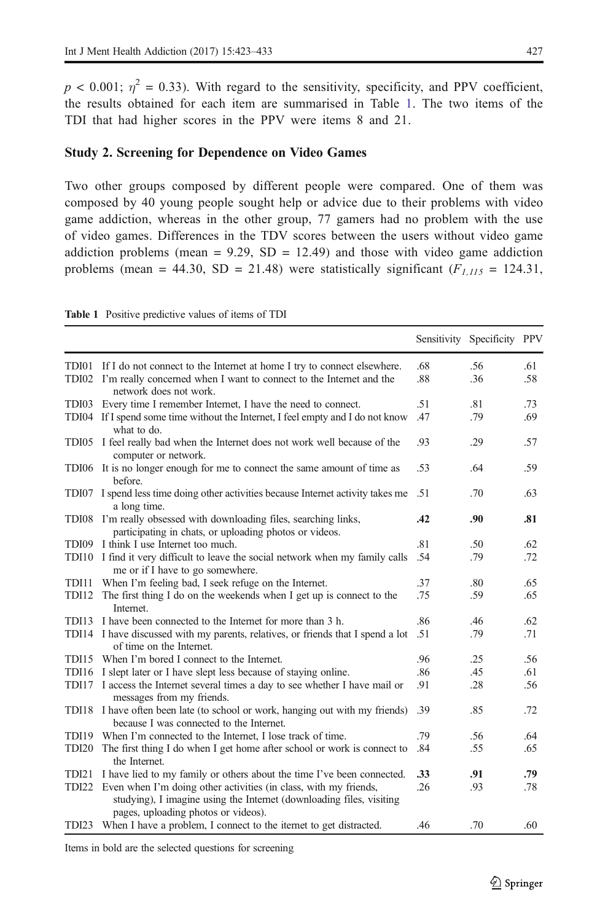$p < 0.001$ ;  $\eta^2 = 0.33$ ). With regard to the sensitivity, specificity, and PPV coefficient, the results obtained for each item are summarised in Table 1. The two items of the TDI that had higher scores in the PPV were items 8 and 21.

## Study 2. Screening for Dependence on Video Games

Two other groups composed by different people were compared. One of them was composed by 40 young people sought help or advice due to their problems with video game addiction, whereas in the other group, 77 gamers had no problem with the use of video games. Differences in the TDV scores between the users without video game addiction problems (mean  $= 9.29$ , SD  $= 12.49$ ) and those with video game addiction problems (mean = 44.30, SD = 21.48) were statistically significant  $(F<sub>1,115</sub> = 124.31)$ ,

|  |  | Table 1 Positive predictive values of items of TDI |  |  |  |
|--|--|----------------------------------------------------|--|--|--|
|--|--|----------------------------------------------------|--|--|--|

|       |                                                                                                                                                                                       |     | Sensitivity Specificity PPV |     |
|-------|---------------------------------------------------------------------------------------------------------------------------------------------------------------------------------------|-----|-----------------------------|-----|
|       | TDI01 If I do not connect to the Internet at home I try to connect elsewhere.                                                                                                         | .68 | .56                         | .61 |
|       | TDI02 I'm really concerned when I want to connect to the Internet and the<br>network does not work.                                                                                   | .88 | .36                         | .58 |
|       | TDI03 Every time I remember Internet, I have the need to connect.                                                                                                                     | .51 | .81                         | .73 |
|       | TDI04 If I spend some time without the Internet, I feel empty and I do not know<br>what to do.                                                                                        | .47 | .79                         | .69 |
|       | TDI05 I feel really bad when the Internet does not work well because of the<br>computer or network.                                                                                   | .93 | .29                         | .57 |
| TDI06 | It is no longer enough for me to connect the same amount of time as<br>before.                                                                                                        | .53 | .64                         | .59 |
|       | TDI07 I spend less time doing other activities because Internet activity takes me<br>a long time.                                                                                     | .51 | .70                         | .63 |
|       | TDI08 I'm really obsessed with downloading files, searching links,<br>participating in chats, or uploading photos or videos.                                                          | .42 | .90                         | .81 |
|       | TDI09 I think I use Internet too much.                                                                                                                                                | .81 | .50                         | .62 |
|       | TDI10 I find it very difficult to leave the social network when my family calls<br>me or if I have to go somewhere.                                                                   | .54 | .79                         | .72 |
| TDI11 | When I'm feeling bad, I seek refuge on the Internet.                                                                                                                                  | .37 | .80                         | .65 |
| TDI12 | The first thing I do on the weekends when I get up is connect to the<br>Internet.                                                                                                     | .75 | .59                         | .65 |
|       | TDI13 I have been connected to the Internet for more than 3 h.                                                                                                                        | .86 | .46                         | .62 |
|       | TDI14 I have discussed with my parents, relatives, or friends that I spend a lot<br>of time on the Internet.                                                                          | .51 | .79                         | .71 |
| TDI15 | When I'm bored I connect to the Internet.                                                                                                                                             | .96 | .25                         | .56 |
|       | TDI16 I slept later or I have slept less because of staying online.                                                                                                                   | .86 | .45                         | .61 |
|       | TDI17 I access the Internet several times a day to see whether I have mail or<br>messages from my friends.                                                                            | .91 | .28                         | .56 |
|       | TDI18 I have often been late (to school or work, hanging out with my friends)<br>because I was connected to the Internet.                                                             | .39 | .85                         | .72 |
| TDI19 | When I'm connected to the Internet, I lose track of time.                                                                                                                             | .79 | .56                         | .64 |
| TDI20 | The first thing I do when I get home after school or work is connect to<br>the Internet.                                                                                              | .84 | .55                         | .65 |
| TDI21 | I have lied to my family or others about the time I've been connected.                                                                                                                | .33 | .91                         | .79 |
|       | TDI22 Even when I'm doing other activities (in class, with my friends,<br>studying), I imagine using the Internet (downloading files, visiting<br>pages, uploading photos or videos). | .26 | .93                         | .78 |
|       | TDI23 When I have a problem, I connect to the itemet to get distracted.                                                                                                               | .46 | .70                         | .60 |

Items in bold are the selected questions for screening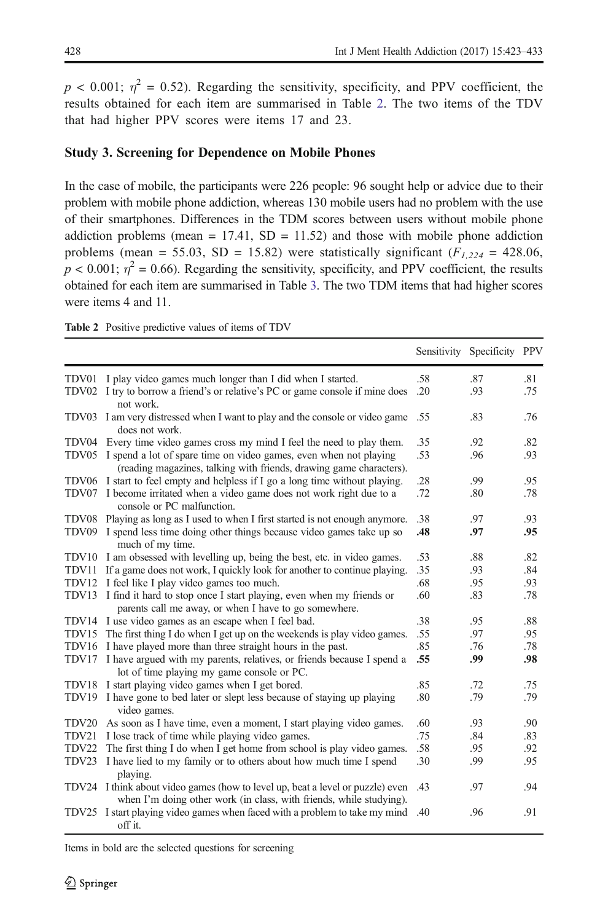$p < 0.001$ ;  $\eta^2 = 0.52$ ). Regarding the sensitivity, specificity, and PPV coefficient, the results obtained for each item are summarised in Table 2. The two items of the TDV that had higher PPV scores were items 17 and 23.

## Study 3. Screening for Dependence on Mobile Phones

In the case of mobile, the participants were 226 people: 96 sought help or advice due to their problem with mobile phone addiction, whereas 130 mobile users had no problem with the use of their smartphones. Differences in the TDM scores between users without mobile phone addiction problems (mean  $= 17.41$ , SD  $= 11.52$ ) and those with mobile phone addiction problems (mean = 55.03, SD = 15.82) were statistically significant ( $F_{1,224}$  = 428.06,  $p < 0.001$ ;  $\eta^2 = 0.66$ ). Regarding the sensitivity, specificity, and PPV coefficient, the results obtained for each item are summarised in Table [3.](#page-6-0) The two TDM items that had higher scores were items 4 and 11.

Table 2 Positive predictive values of items of TDV

|       |                                                                                                                                                       |     | Sensitivity Specificity PPV |     |
|-------|-------------------------------------------------------------------------------------------------------------------------------------------------------|-----|-----------------------------|-----|
| TDV01 | I play video games much longer than I did when I started.                                                                                             | .58 | .87                         | .81 |
|       | TDV02 I try to borrow a friend's or relative's PC or game console if mine does<br>not work.                                                           | .20 | .93                         | .75 |
|       | TDV03 I am very distressed when I want to play and the console or video game<br>does not work.                                                        | .55 | .83                         | .76 |
| TDV04 | Every time video games cross my mind I feel the need to play them.                                                                                    | .35 | .92                         | .82 |
| TDV05 | I spend a lot of spare time on video games, even when not playing<br>(reading magazines, talking with friends, drawing game characters).              | .53 | .96                         | .93 |
|       | TDV06 I start to feel empty and helpless if I go a long time without playing.                                                                         | .28 | .99                         | .95 |
| TDV07 | I become irritated when a video game does not work right due to a<br>console or PC malfunction.                                                       | .72 | .80                         | .78 |
| TDV08 | Playing as long as I used to when I first started is not enough anymore.                                                                              | .38 | .97                         | .93 |
| TDV09 | I spend less time doing other things because video games take up so<br>much of my time.                                                               | .48 | .97                         | .95 |
| TDV10 | I am obsessed with levelling up, being the best, etc. in video games.                                                                                 | .53 | .88                         | .82 |
| TDV11 | If a game does not work, I quickly look for another to continue playing.                                                                              | .35 | .93                         | .84 |
|       | TDV12 I feel like I play video games too much.                                                                                                        | .68 | .95                         | .93 |
| TDV13 | I find it hard to stop once I start playing, even when my friends or<br>parents call me away, or when I have to go somewhere.                         | .60 | .83                         | .78 |
| TDV14 | I use video games as an escape when I feel bad.                                                                                                       | .38 | .95                         | .88 |
| TDV15 | The first thing I do when I get up on the weekends is play video games.                                                                               | .55 | .97                         | .95 |
|       | TDV16 I have played more than three straight hours in the past.                                                                                       | .85 | .76                         | .78 |
|       | TDV17 I have argued with my parents, relatives, or friends because I spend a<br>lot of time playing my game console or PC.                            | .55 | .99                         | .98 |
| TDV18 | I start playing video games when I get bored.                                                                                                         | .85 | .72                         | .75 |
| TDV19 | I have gone to bed later or slept less because of staying up playing<br>video games.                                                                  | .80 | .79                         | .79 |
| TDV20 | As soon as I have time, even a moment, I start playing video games.                                                                                   | .60 | .93                         | .90 |
| TDV21 | I lose track of time while playing video games.                                                                                                       | .75 | .84                         | .83 |
| TDV22 | The first thing I do when I get home from school is play video games.                                                                                 | .58 | .95                         | .92 |
| TDV23 | I have lied to my family or to others about how much time I spend<br>playing.                                                                         | .30 | .99                         | .95 |
|       | TDV24 I think about video games (how to level up, beat a level or puzzle) even<br>when I'm doing other work (in class, with friends, while studying). | .43 | .97                         | .94 |
|       | TDV25 I start playing video games when faced with a problem to take my mind<br>off it.                                                                | .40 | .96                         | .91 |

Items in bold are the selected questions for screening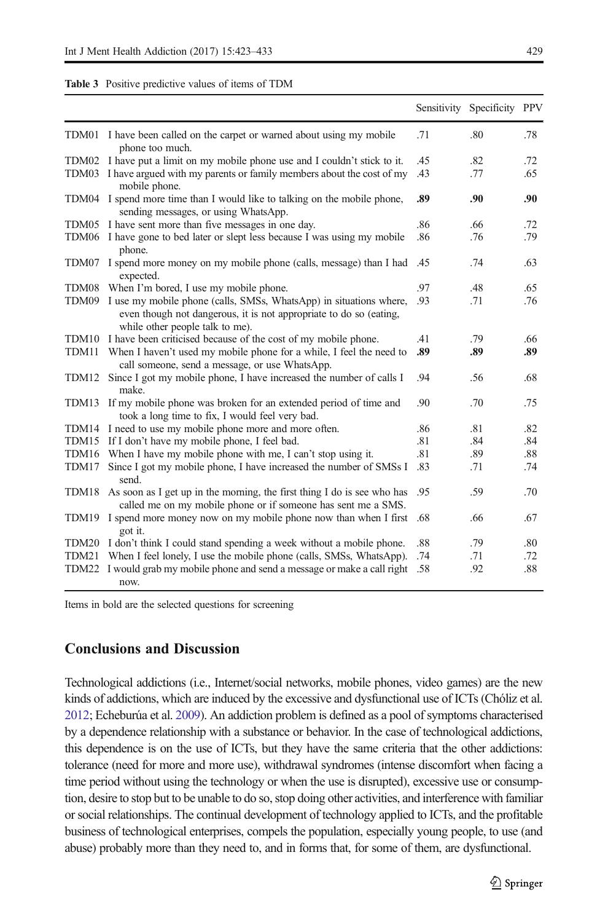<span id="page-6-0"></span>

| <b>Table 3</b> Positive predictive values of items of TDM |
|-----------------------------------------------------------|
|                                                           |

|       |                                                                                                                                                                                   |     | Sensitivity Specificity PPV |     |
|-------|-----------------------------------------------------------------------------------------------------------------------------------------------------------------------------------|-----|-----------------------------|-----|
| TDM01 | I have been called on the carpet or warned about using my mobile<br>phone too much.                                                                                               | .71 | .80                         | .78 |
|       | TDM02 I have put a limit on my mobile phone use and I couldn't stick to it.                                                                                                       | .45 | .82                         | .72 |
|       | TDM03 I have argued with my parents or family members about the cost of my<br>mobile phone.                                                                                       | .43 | .77                         | .65 |
|       | TDM04 I spend more time than I would like to talking on the mobile phone,<br>sending messages, or using WhatsApp.                                                                 | .89 | .90                         | .90 |
|       | TDM05 I have sent more than five messages in one day.                                                                                                                             | .86 | .66                         | .72 |
|       | TDM06 I have gone to bed later or slept less because I was using my mobile<br>phone.                                                                                              | .86 | .76                         | .79 |
| TDM07 | I spend more money on my mobile phone (calls, message) than I had<br>expected.                                                                                                    | .45 | .74                         | .63 |
| TDM08 | When I'm bored, I use my mobile phone.                                                                                                                                            | .97 | .48                         | .65 |
|       | TDM09 I use my mobile phone (calls, SMSs, WhatsApp) in situations where,<br>even though not dangerous, it is not appropriate to do so (eating,<br>while other people talk to me). | .93 | .71                         | .76 |
| TDM10 | I have been criticised because of the cost of my mobile phone.                                                                                                                    | .41 | .79                         | .66 |
| TDM11 | When I haven't used my mobile phone for a while, I feel the need to<br>call someone, send a message, or use WhatsApp.                                                             | .89 | .89                         | .89 |
| TDM12 | Since I got my mobile phone, I have increased the number of calls I<br>make.                                                                                                      | .94 | .56                         | .68 |
| TDM13 | If my mobile phone was broken for an extended period of time and<br>took a long time to fix, I would feel very bad.                                                               | .90 | .70                         | .75 |
|       | TDM14 I need to use my mobile phone more and more often.                                                                                                                          | .86 | .81                         | .82 |
|       | TDM15 If I don't have my mobile phone, I feel bad.                                                                                                                                | .81 | .84                         | .84 |
|       | TDM16 When I have my mobile phone with me, I can't stop using it.                                                                                                                 | .81 | .89                         | .88 |
| TDM17 | Since I got my mobile phone, I have increased the number of SMSs I<br>send.                                                                                                       | .83 | .71                         | .74 |
|       | TDM18 As soon as I get up in the morning, the first thing I do is see who has<br>called me on my mobile phone or if someone has sent me a SMS.                                    | .95 | .59                         | .70 |
|       | TDM19 I spend more money now on my mobile phone now than when I first<br>got it.                                                                                                  | .68 | .66                         | .67 |
|       | TDM20 I don't think I could stand spending a week without a mobile phone.                                                                                                         | .88 | .79                         | .80 |
| TDM21 | When I feel lonely, I use the mobile phone (calls, SMSs, WhatsApp).                                                                                                               | .74 | .71                         | .72 |
|       | TDM22 I would grab my mobile phone and send a message or make a call right<br>now.                                                                                                | .58 | .92                         | .88 |

Items in bold are the selected questions for screening

## Conclusions and Discussion

Technological addictions (i.e., Internet/social networks, mobile phones, video games) are the new kinds of addictions, which are induced by the excessive and dysfunctional use of ICTs (Chóliz et al. [2012;](#page-9-0) Echeburúa et al. [2009\)](#page-10-0). An addiction problem is defined as a pool of symptoms characterised by a dependence relationship with a substance or behavior. In the case of technological addictions, this dependence is on the use of ICTs, but they have the same criteria that the other addictions: tolerance (need for more and more use), withdrawal syndromes (intense discomfort when facing a time period without using the technology or when the use is disrupted), excessive use or consumption, desire to stop but to be unable to do so, stop doing other activities, and interference with familiar or social relationships. The continual development of technology applied to ICTs, and the profitable business of technological enterprises, compels the population, especially young people, to use (and abuse) probably more than they need to, and in forms that, for some of them, are dysfunctional.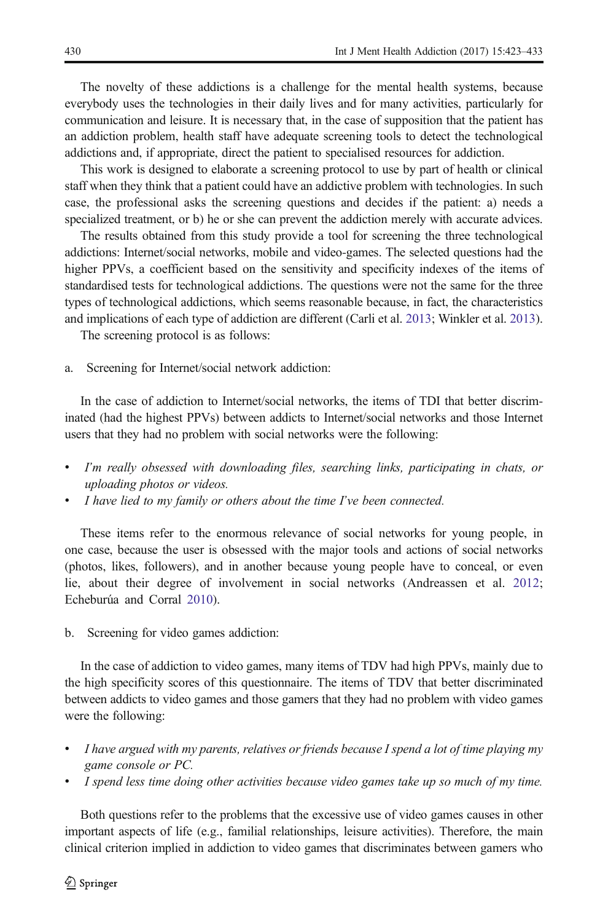The novelty of these addictions is a challenge for the mental health systems, because everybody uses the technologies in their daily lives and for many activities, particularly for communication and leisure. It is necessary that, in the case of supposition that the patient has an addiction problem, health staff have adequate screening tools to detect the technological addictions and, if appropriate, direct the patient to specialised resources for addiction.

This work is designed to elaborate a screening protocol to use by part of health or clinical staff when they think that a patient could have an addictive problem with technologies. In such case, the professional asks the screening questions and decides if the patient: a) needs a specialized treatment, or b) he or she can prevent the addiction merely with accurate advices.

The results obtained from this study provide a tool for screening the three technological addictions: Internet/social networks, mobile and video-games. The selected questions had the higher PPVs, a coefficient based on the sensitivity and specificity indexes of the items of standardised tests for technological addictions. The questions were not the same for the three types of technological addictions, which seems reasonable because, in fact, the characteristics and implications of each type of addiction are different (Carli et al. [2013;](#page-9-0) Winkler et al. [2013](#page-10-0)).

The screening protocol is as follows:

a. Screening for Internet/social network addiction:

In the case of addiction to Internet/social networks, the items of TDI that better discriminated (had the highest PPVs) between addicts to Internet/social networks and those Internet users that they had no problem with social networks were the following:

- I'm really obsessed with downloading files, searching links, participating in chats, or uploading photos or videos.
- I have lied to my family or others about the time I've been connected.

These items refer to the enormous relevance of social networks for young people, in one case, because the user is obsessed with the major tools and actions of social networks (photos, likes, followers), and in another because young people have to conceal, or even lie, about their degree of involvement in social networks (Andreassen et al. [2012](#page-9-0); Echeburúa and Corral [2010\)](#page-10-0).

b. Screening for video games addiction:

In the case of addiction to video games, many items of TDV had high PPVs, mainly due to the high specificity scores of this questionnaire. The items of TDV that better discriminated between addicts to video games and those gamers that they had no problem with video games were the following:

- I have argued with my parents, relatives or friends because I spend a lot of time playing my game console or PC.
- I spend less time doing other activities because video games take up so much of my time.

Both questions refer to the problems that the excessive use of video games causes in other important aspects of life (e.g., familial relationships, leisure activities). Therefore, the main clinical criterion implied in addiction to video games that discriminates between gamers who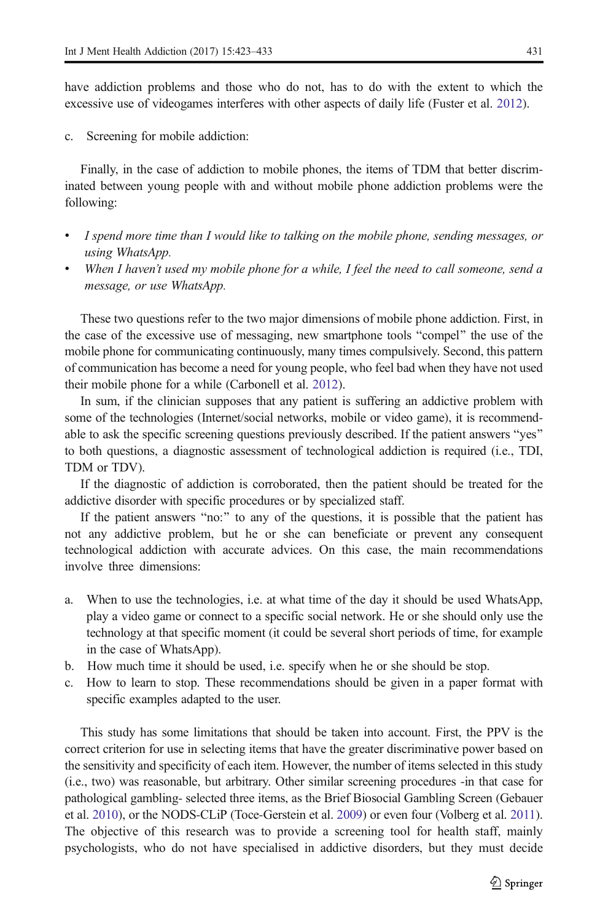have addiction problems and those who do not, has to do with the extent to which the excessive use of videogames interferes with other aspects of daily life (Fuster et al. [2012\)](#page-10-0).

c. Screening for mobile addiction:

Finally, in the case of addiction to mobile phones, the items of TDM that better discriminated between young people with and without mobile phone addiction problems were the following:

- I spend more time than I would like to talking on the mobile phone, sending messages, or using WhatsApp.
- When I haven't used my mobile phone for a while, I feel the need to call someone, send a message, or use WhatsApp.

These two questions refer to the two major dimensions of mobile phone addiction. First, in the case of the excessive use of messaging, new smartphone tools "compel" the use of the mobile phone for communicating continuously, many times compulsively. Second, this pattern of communication has become a need for young people, who feel bad when they have not used their mobile phone for a while (Carbonell et al. [2012\)](#page-9-0).

In sum, if the clinician supposes that any patient is suffering an addictive problem with some of the technologies (Internet/social networks, mobile or video game), it is recommendable to ask the specific screening questions previously described. If the patient answers "yes" to both questions, a diagnostic assessment of technological addiction is required (i.e., TDI, TDM or TDV).

If the diagnostic of addiction is corroborated, then the patient should be treated for the addictive disorder with specific procedures or by specialized staff.

If the patient answers "no:" to any of the questions, it is possible that the patient has not any addictive problem, but he or she can beneficiate or prevent any consequent technological addiction with accurate advices. On this case, the main recommendations involve three dimensions:

- a. When to use the technologies, i.e. at what time of the day it should be used WhatsApp, play a video game or connect to a specific social network. He or she should only use the technology at that specific moment (it could be several short periods of time, for example in the case of WhatsApp).
- b. How much time it should be used, i.e. specify when he or she should be stop.
- c. How to learn to stop. These recommendations should be given in a paper format with specific examples adapted to the user.

This study has some limitations that should be taken into account. First, the PPV is the correct criterion for use in selecting items that have the greater discriminative power based on the sensitivity and specificity of each item. However, the number of items selected in this study (i.e., two) was reasonable, but arbitrary. Other similar screening procedures -in that case for pathological gambling- selected three items, as the Brief Biosocial Gambling Screen (Gebauer et al. [2010](#page-10-0)), or the NODS-CLiP (Toce-Gerstein et al. [2009](#page-10-0)) or even four (Volberg et al. [2011](#page-10-0)). The objective of this research was to provide a screening tool for health staff, mainly psychologists, who do not have specialised in addictive disorders, but they must decide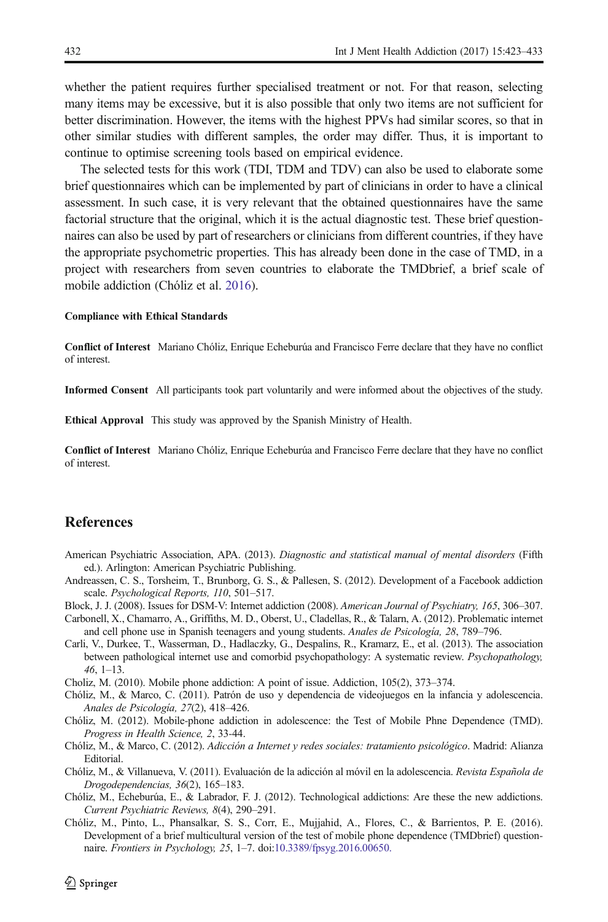<span id="page-9-0"></span>whether the patient requires further specialised treatment or not. For that reason, selecting many items may be excessive, but it is also possible that only two items are not sufficient for better discrimination. However, the items with the highest PPVs had similar scores, so that in other similar studies with different samples, the order may differ. Thus, it is important to continue to optimise screening tools based on empirical evidence.

The selected tests for this work (TDI, TDM and TDV) can also be used to elaborate some brief questionnaires which can be implemented by part of clinicians in order to have a clinical assessment. In such case, it is very relevant that the obtained questionnaires have the same factorial structure that the original, which it is the actual diagnostic test. These brief questionnaires can also be used by part of researchers or clinicians from different countries, if they have the appropriate psychometric properties. This has already been done in the case of TMD, in a project with researchers from seven countries to elaborate the TMDbrief, a brief scale of mobile addiction (Chóliz et al. 2016).

#### Compliance with Ethical Standards

Conflict of Interest Mariano Chóliz, Enrique Echeburúa and Francisco Ferre declare that they have no conflict of interest.

Informed Consent All participants took part voluntarily and were informed about the objectives of the study.

Ethical Approval This study was approved by the Spanish Ministry of Health.

Conflict of Interest Mariano Chóliz, Enrique Echeburúa and Francisco Ferre declare that they have no conflict of interest.

## References

- American Psychiatric Association, APA. (2013). Diagnostic and statistical manual of mental disorders (Fifth ed.). Arlington: American Psychiatric Publishing.
- Andreassen, C. S., Torsheim, T., Brunborg, G. S., & Pallesen, S. (2012). Development of a Facebook addiction scale. Psychological Reports, 110, 501–517.
- Block, J. J. (2008). Issues for DSM-V: Internet addiction (2008). American Journal of Psychiatry, 165, 306–307.
- Carbonell, X., Chamarro, A., Griffiths, M. D., Oberst, U., Cladellas, R., & Talarn, A. (2012). Problematic internet and cell phone use in Spanish teenagers and young students. Anales de Psicología, 28, 789–796.
- Carli, V., Durkee, T., Wasserman, D., Hadlaczky, G., Despalins, R., Kramarz, E., et al. (2013). The association between pathological internet use and comorbid psychopathology: A systematic review. Psychopathology, 46, 1–13.

Choliz, M. (2010). Mobile phone addiction: A point of issue. Addiction, 105(2), 373–374.

- Chóliz, M., & Marco, C. (2011). Patrón de uso y dependencia de videojuegos en la infancia y adolescencia. Anales de Psicología, 27(2), 418–426.
- Chóliz, M. (2012). Mobile-phone addiction in adolescence: the Test of Mobile Phne Dependence (TMD). Progress in Health Science, 2, 33-44.
- Chóliz, M., & Marco, C. (2012). Adicción a Internet y redes sociales: tratamiento psicológico. Madrid: Alianza **Editorial**
- Chóliz, M., & Villanueva, V. (2011). Evaluación de la adicción al móvil en la adolescencia. Revista Española de Drogodependencias, 36(2), 165–183.
- Chóliz, M., Echeburúa, E., & Labrador, F. J. (2012). Technological addictions: Are these the new addictions. Current Psychiatric Reviews, 8(4), 290–291.
- Chóliz, M., Pinto, L., Phansalkar, S. S., Corr, E., Mujjahid, A., Flores, C., & Barrientos, P. E. (2016). Development of a brief multicultural version of the test of mobile phone dependence (TMDbrief) questionnaire. Frontiers in Psychology, 25, 1–7. doi[:10.3389/fpsyg.2016.00650.](http://dx.doi.org/10.3389/fpsyg.2016.00650.)